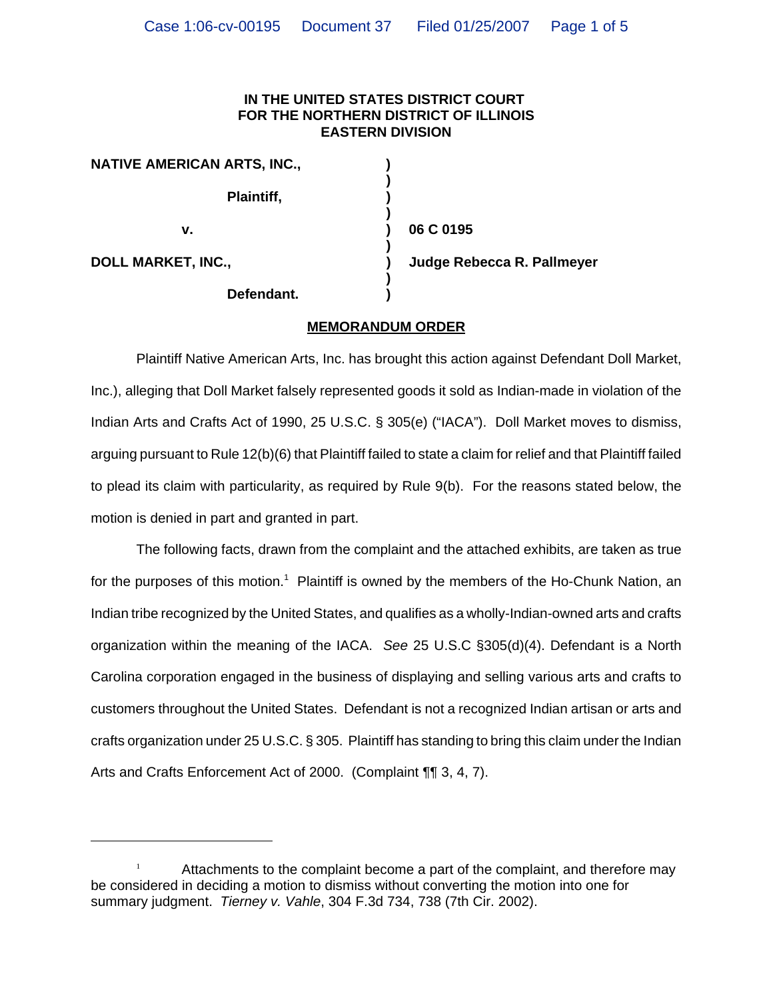## **IN THE UNITED STATES DISTRICT COURT FOR THE NORTHERN DISTRICT OF ILLINOIS EASTERN DIVISION**

| <b>NATIVE AMERICAN ARTS, INC.,</b> |  |
|------------------------------------|--|
| Plaintiff,                         |  |
| v.                                 |  |
| <b>DOLL MARKET, INC.,</b>          |  |
| Defendant.                         |  |

**v. ) 06 C 0195**

**Judge Rebecca R. Pallmeyer** 

## **MEMORANDUM ORDER**

Plaintiff Native American Arts, Inc. has brought this action against Defendant Doll Market, Inc.), alleging that Doll Market falsely represented goods it sold as Indian-made in violation of the Indian Arts and Crafts Act of 1990, 25 U.S.C. § 305(e) ("IACA"). Doll Market moves to dismiss, arguing pursuant to Rule 12(b)(6) that Plaintiff failed to state a claim for relief and that Plaintiff failed to plead its claim with particularity, as required by Rule 9(b). For the reasons stated below, the motion is denied in part and granted in part.

The following facts, drawn from the complaint and the attached exhibits, are taken as true for the purposes of this motion.<sup>1</sup> Plaintiff is owned by the members of the Ho-Chunk Nation, an Indian tribe recognized by the United States, and qualifies as a wholly-Indian-owned arts and crafts organization within the meaning of the IACA. *See* 25 U.S.C §305(d)(4). Defendant is a North Carolina corporation engaged in the business of displaying and selling various arts and crafts to customers throughout the United States. Defendant is not a recognized Indian artisan or arts and crafts organization under 25 U.S.C. § 305. Plaintiff has standing to bring this claim under the Indian Arts and Crafts Enforcement Act of 2000. (Complaint ¶¶ 3, 4, 7).

Attachments to the complaint become a part of the complaint, and therefore may be considered in deciding a motion to dismiss without converting the motion into one for summary judgment. *Tierney v. Vahle*, 304 F.3d 734, 738 (7th Cir. 2002).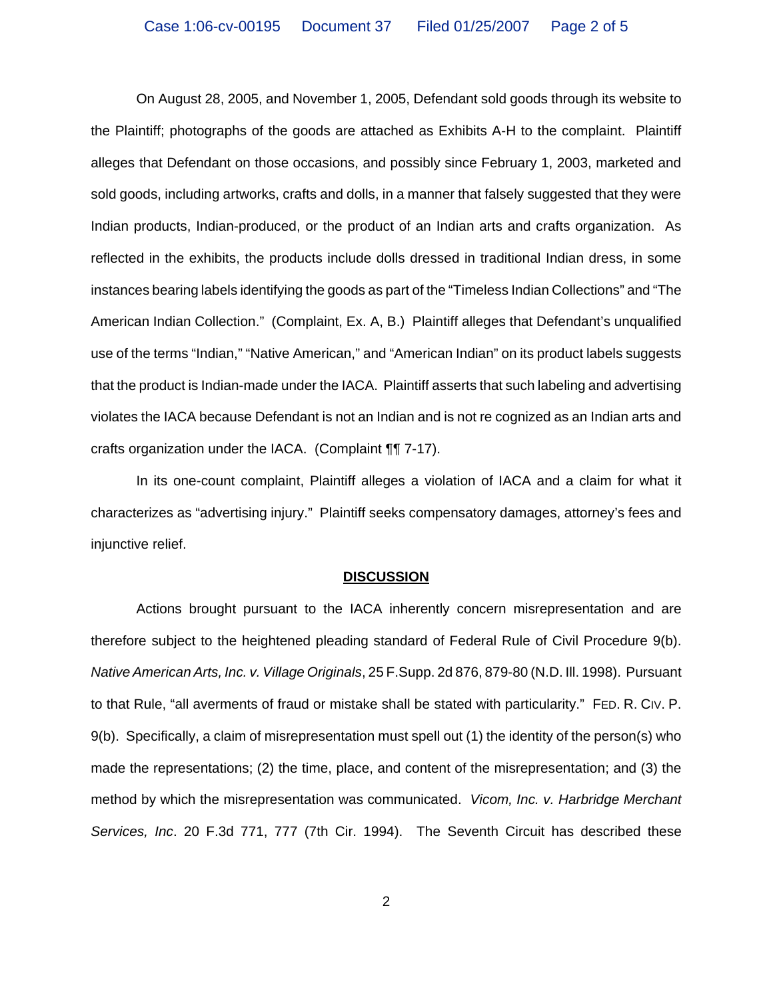On August 28, 2005, and November 1, 2005, Defendant sold goods through its website to the Plaintiff; photographs of the goods are attached as Exhibits A-H to the complaint. Plaintiff alleges that Defendant on those occasions, and possibly since February 1, 2003, marketed and sold goods, including artworks, crafts and dolls, in a manner that falsely suggested that they were Indian products, Indian-produced, or the product of an Indian arts and crafts organization. As reflected in the exhibits, the products include dolls dressed in traditional Indian dress, in some instances bearing labels identifying the goods as part of the "Timeless Indian Collections" and "The American Indian Collection." (Complaint, Ex. A, B.) Plaintiff alleges that Defendant's unqualified use of the terms "Indian," "Native American," and "American Indian" on its product labels suggests that the product is Indian-made under the IACA. Plaintiff asserts that such labeling and advertising violates the IACA because Defendant is not an Indian and is not re cognized as an Indian arts and crafts organization under the IACA. (Complaint ¶¶ 7-17).

In its one-count complaint, Plaintiff alleges a violation of IACA and a claim for what it characterizes as "advertising injury." Plaintiff seeks compensatory damages, attorney's fees and injunctive relief.

## **DISCUSSION**

Actions brought pursuant to the IACA inherently concern misrepresentation and are therefore subject to the heightened pleading standard of Federal Rule of Civil Procedure 9(b). *Native American Arts, Inc. v. Village Originals*, 25 F.Supp. 2d 876, 879-80 (N.D. Ill. 1998). Pursuant to that Rule, "all averments of fraud or mistake shall be stated with particularity." FED. R. CIV. P. 9(b). Specifically, a claim of misrepresentation must spell out (1) the identity of the person(s) who made the representations; (2) the time, place, and content of the misrepresentation; and (3) the method by which the misrepresentation was communicated. *Vicom, Inc. v. Harbridge Merchant Services, Inc*. 20 F.3d 771, 777 (7th Cir. 1994). The Seventh Circuit has described these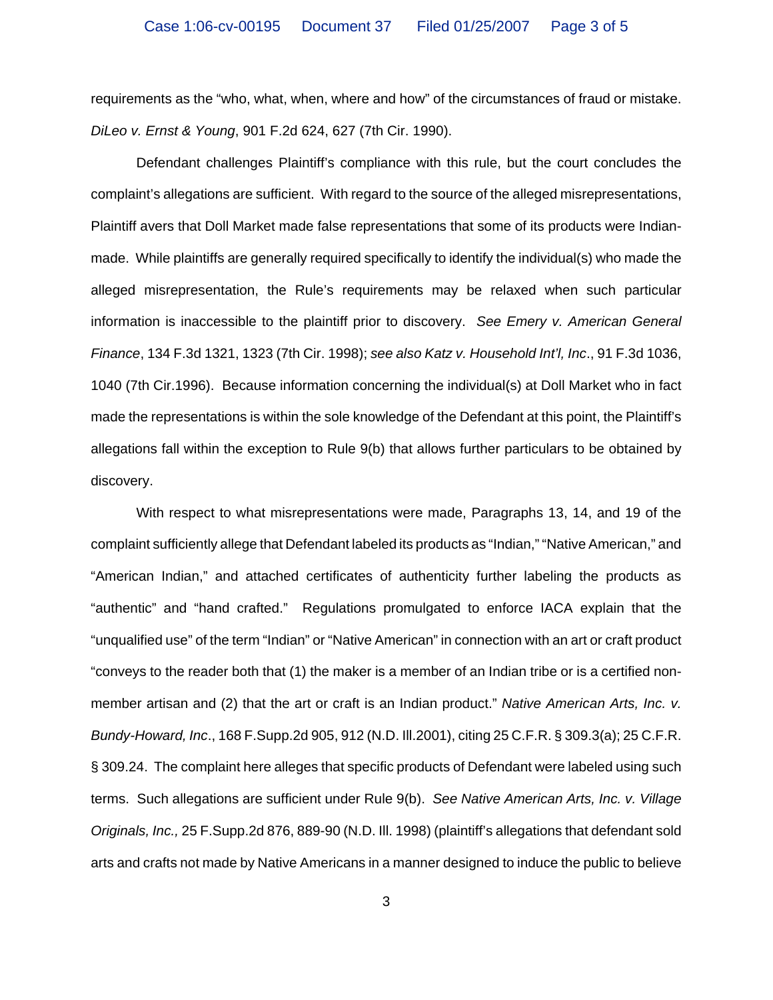requirements as the "who, what, when, where and how" of the circumstances of fraud or mistake. *DiLeo v. Ernst & Young*, 901 F.2d 624, 627 (7th Cir. 1990).

Defendant challenges Plaintiff's compliance with this rule, but the court concludes the complaint's allegations are sufficient. With regard to the source of the alleged misrepresentations, Plaintiff avers that Doll Market made false representations that some of its products were Indianmade. While plaintiffs are generally required specifically to identify the individual(s) who made the alleged misrepresentation, the Rule's requirements may be relaxed when such particular information is inaccessible to the plaintiff prior to discovery. *See Emery v. American General Finance*, 134 F.3d 1321, 1323 (7th Cir. 1998); *see also Katz v. Household Int'l, Inc*., 91 F.3d 1036, 1040 (7th Cir.1996). Because information concerning the individual(s) at Doll Market who in fact made the representations is within the sole knowledge of the Defendant at this point, the Plaintiff's allegations fall within the exception to Rule 9(b) that allows further particulars to be obtained by discovery.

With respect to what misrepresentations were made, Paragraphs 13, 14, and 19 of the complaint sufficiently allege that Defendant labeled its products as "Indian," "Native American," and "American Indian," and attached certificates of authenticity further labeling the products as "authentic" and "hand crafted." Regulations promulgated to enforce IACA explain that the "unqualified use" of the term "Indian" or "Native American" in connection with an art or craft product "conveys to the reader both that (1) the maker is a member of an Indian tribe or is a certified nonmember artisan and (2) that the art or craft is an Indian product." *Native American Arts, Inc. v. Bundy-Howard, Inc*., 168 F.Supp.2d 905, 912 (N.D. Ill.2001), citing 25 C.F.R. § 309.3(a); 25 C.F.R. § 309.24. The complaint here alleges that specific products of Defendant were labeled using such terms. Such allegations are sufficient under Rule 9(b). *See Native American Arts, Inc. v. Village Originals, Inc.,* 25 F.Supp.2d 876, 889-90 (N.D. Ill. 1998) (plaintiff's allegations that defendant sold arts and crafts not made by Native Americans in a manner designed to induce the public to believe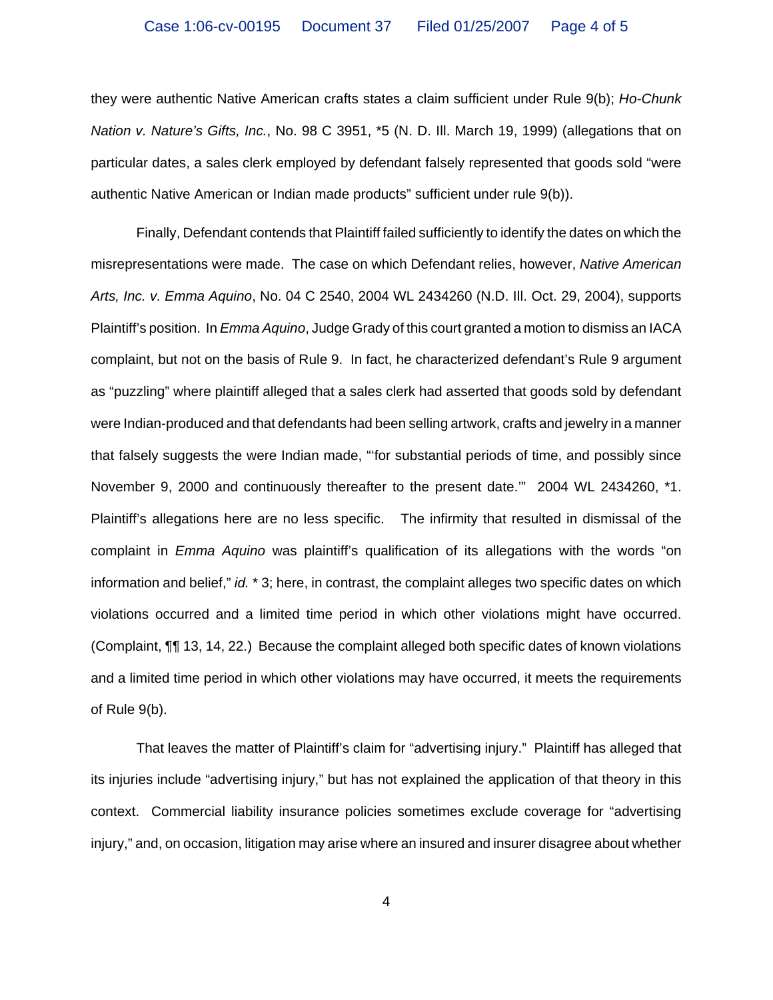they were authentic Native American crafts states a claim sufficient under Rule 9(b); *Ho-Chunk Nation v. Nature's Gifts, Inc.*, No. 98 C 3951, \*5 (N. D. Ill. March 19, 1999) (allegations that on particular dates, a sales clerk employed by defendant falsely represented that goods sold "were authentic Native American or Indian made products" sufficient under rule 9(b)).

Finally, Defendant contends that Plaintiff failed sufficiently to identify the dates on which the misrepresentations were made. The case on which Defendant relies, however, *Native American Arts, Inc. v. Emma Aquino*, No. 04 C 2540, 2004 WL 2434260 (N.D. Ill. Oct. 29, 2004), supports Plaintiff's position. In *Emma Aquino*, Judge Grady of this court granted a motion to dismiss an IACA complaint, but not on the basis of Rule 9. In fact, he characterized defendant's Rule 9 argument as "puzzling" where plaintiff alleged that a sales clerk had asserted that goods sold by defendant were Indian-produced and that defendants had been selling artwork, crafts and jewelry in a manner that falsely suggests the were Indian made, "'for substantial periods of time, and possibly since November 9, 2000 and continuously thereafter to the present date.'" 2004 WL 2434260, \*1. Plaintiff's allegations here are no less specific. The infirmity that resulted in dismissal of the complaint in *Emma Aquino* was plaintiff's qualification of its allegations with the words "on information and belief," *id.* \* 3; here, in contrast, the complaint alleges two specific dates on which violations occurred and a limited time period in which other violations might have occurred. (Complaint, ¶¶ 13, 14, 22.) Because the complaint alleged both specific dates of known violations and a limited time period in which other violations may have occurred, it meets the requirements of Rule 9(b).

That leaves the matter of Plaintiff's claim for "advertising injury." Plaintiff has alleged that its injuries include "advertising injury," but has not explained the application of that theory in this context. Commercial liability insurance policies sometimes exclude coverage for "advertising injury," and, on occasion, litigation may arise where an insured and insurer disagree about whether